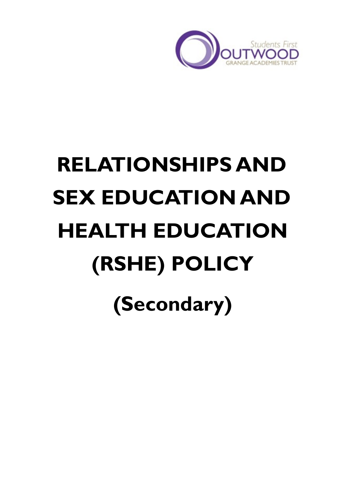

# **RELATIONSHIPS AND SEX EDUCATION AND HEALTH EDUCATION (RSHE) POLICY (Secondary)**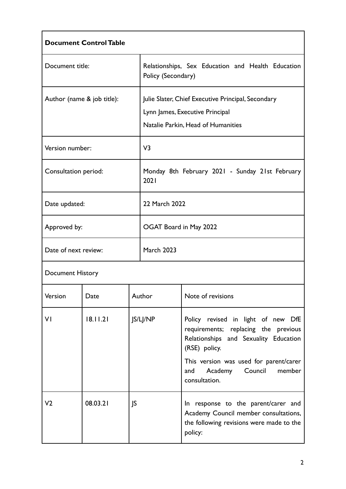| <b>Document Control Table</b> |          |                        |                                                                                                                             |                                                                                                                                                                                                                                        |
|-------------------------------|----------|------------------------|-----------------------------------------------------------------------------------------------------------------------------|----------------------------------------------------------------------------------------------------------------------------------------------------------------------------------------------------------------------------------------|
| Document title:               |          | Policy (Secondary)     | Relationships, Sex Education and Health Education                                                                           |                                                                                                                                                                                                                                        |
| Author (name & job title):    |          |                        | Julie Slater, Chief Executive Principal, Secondary<br>Lynn James, Executive Principal<br>Natalie Parkin, Head of Humanities |                                                                                                                                                                                                                                        |
| Version number:               |          | V <sub>3</sub>         |                                                                                                                             |                                                                                                                                                                                                                                        |
| Consultation period:          |          | 2021                   | Monday 8th February 2021 - Sunday 21st February                                                                             |                                                                                                                                                                                                                                        |
| Date updated:                 |          | 22 March 2022          |                                                                                                                             |                                                                                                                                                                                                                                        |
| Approved by:                  |          | OGAT Board in May 2022 |                                                                                                                             |                                                                                                                                                                                                                                        |
| Date of next review:          |          | <b>March 2023</b>      |                                                                                                                             |                                                                                                                                                                                                                                        |
| <b>Document History</b>       |          |                        |                                                                                                                             |                                                                                                                                                                                                                                        |
| Version                       | Date     |                        | Author                                                                                                                      | Note of revisions                                                                                                                                                                                                                      |
| VI                            | 18.11.21 | JS/LJ/NP               |                                                                                                                             | Policy revised in light of new DfE<br>requirements; replacing the previous<br>Relationships and Sexuality Education<br>(RSE) policy.<br>This version was used for parent/carer<br>Academy<br>Council<br>member<br>and<br>consultation. |
| V <sub>2</sub>                | 08.03.21 | JS                     |                                                                                                                             | In response to the parent/carer and<br>Academy Council member consultations,<br>the following revisions were made to the<br>policy:                                                                                                    |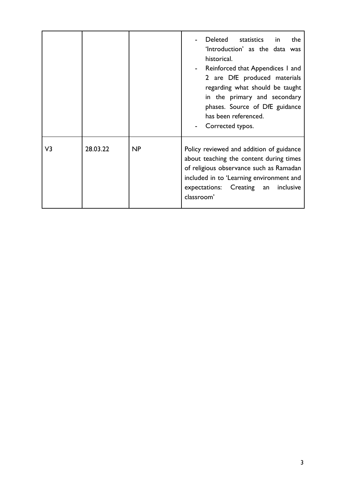|    |          |    | Deleted<br>statistics in<br>the<br>'Introduction' as the data was<br>historical.<br>Reinforced that Appendices 1 and<br>2 are DfE produced materials<br>regarding what should be taught<br>in the primary and secondary<br>phases. Source of DfE guidance<br>has been referenced.<br>Corrected typos. |
|----|----------|----|-------------------------------------------------------------------------------------------------------------------------------------------------------------------------------------------------------------------------------------------------------------------------------------------------------|
| V3 | 28.03.22 | NP | Policy reviewed and addition of guidance<br>about teaching the content during times<br>of religious observance such as Ramadan<br>included in to 'Learning environment and<br>expectations: Creating an<br>inclusive<br>classroom'                                                                    |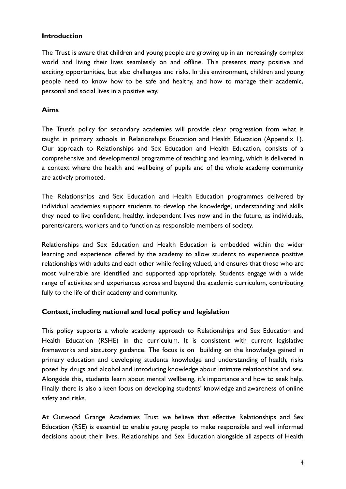#### **Introduction**

The Trust is aware that children and young people are growing up in an increasingly complex world and living their lives seamlessly on and offline. This presents many positive and exciting opportunities, but also challenges and risks. In this environment, children and young people need to know how to be safe and healthy, and how to manage their academic, personal and social lives in a positive way.

#### **Aims**

The Trust's policy for secondary academies will provide clear progression from what is taught in primary schools in Relationships Education and Health Education (Appendix 1). Our approach to Relationships and Sex Education and Health Education, consists of a comprehensive and developmental programme of teaching and learning, which is delivered in a context where the health and wellbeing of pupils and of the whole academy community are actively promoted.

The Relationships and Sex Education and Health Education programmes delivered by individual academies support students to develop the knowledge, understanding and skills they need to live confident, healthy, independent lives now and in the future, as individuals, parents/carers, workers and to function as responsible members of society.

Relationships and Sex Education and Health Education is embedded within the wider learning and experience offered by the academy to allow students to experience positive relationships with adults and each other while feeling valued, and ensures that those who are most vulnerable are identified and supported appropriately. Students engage with a wide range of activities and experiences across and beyond the academic curriculum, contributing fully to the life of their academy and community.

#### **Context, including national and local policy and legislation**

This policy supports a whole academy approach to Relationships and Sex Education and Health Education (RSHE) in the curriculum. It is consistent with current legislative frameworks and statutory guidance. The focus is on building on the knowledge gained in primary education and developing students knowledge and understanding of health, risks posed by drugs and alcohol and introducing knowledge about intimate relationships and sex. Alongside this, students learn about mental wellbeing, it's importance and how to seek help. Finally there is also a keen focus on developing students' knowledge and awareness of online safety and risks.

At Outwood Grange Academies Trust we believe that effective Relationships and Sex Education (RSE) is essential to enable young people to make responsible and well informed decisions about their lives. Relationships and Sex Education alongside all aspects of Health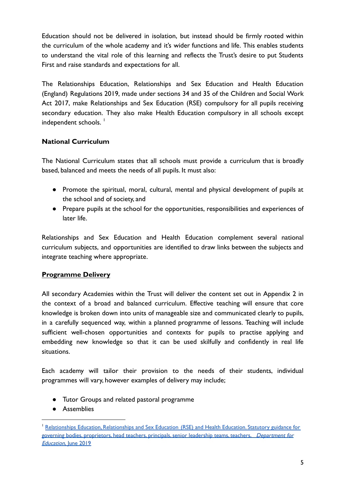Education should not be delivered in isolation, but instead should be firmly rooted within the curriculum of the whole academy and it's wider functions and life. This enables students to understand the vital role of this learning and reflects the Trust's desire to put Students First and raise standards and expectations for all.

The Relationships Education, Relationships and Sex Education and Health Education (England) Regulations 2019, made under sections 34 and 35 of the Children and Social Work Act 2017, make Relationships and Sex Education (RSE) compulsory for all pupils receiving secondary education. They also make Health Education compulsory in all schools except independent schools.<sup>1</sup>

# **National Curriculum**

The National Curriculum states that all schools must provide a curriculum that is broadly based, balanced and meets the needs of all pupils. It must also:

- Promote the spiritual, moral, cultural, mental and physical development of pupils at the school and of society, and
- Prepare pupils at the school for the opportunities, responsibilities and experiences of later life.

Relationships and Sex Education and Health Education complement several national curriculum subjects, and opportunities are identified to draw links between the subjects and integrate teaching where appropriate.

# **Programme Delivery**

All secondary Academies within the Trust will deliver the content set out in Appendix 2 in the context of a broad and balanced curriculum. Effective teaching will ensure that core knowledge is broken down into units of manageable size and communicated clearly to pupils, in a carefully sequenced way, within a planned programme of lessons. Teaching will include sufficient well-chosen opportunities and contexts for pupils to practise applying and embedding new knowledge so that it can be used skilfully and confidently in real life situations.

Each academy will tailor their provision to the needs of their students, individual programmes will vary, however examples of delivery may include;

- Tutor Groups and related pastoral programme
- Assemblies

<sup>1</sup> Relationships Education, [Relationships](https://assets.publishing.service.gov.uk/government/uploads/system/uploads/attachment_data/file/908013/Relationships_Education__Relationships_and_Sex_Education__RSE__and_Health_Education.pdf) and Sex Education (RSE) and Health Education. Statutory guidance for governing bodies, proprietors, head teachers, principals, senior leadership teams, teachers, Department for [Education,](https://assets.publishing.service.gov.uk/government/uploads/system/uploads/attachment_data/file/908013/Relationships_Education__Relationships_and_Sex_Education__RSE__and_Health_Education.pdf) June 2019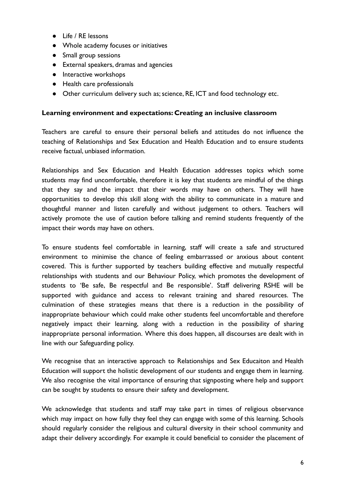- Life / RE lessons
- Whole academy focuses or initiatives
- Small group sessions
- External speakers, dramas and agencies
- Interactive workshops
- Health care professionals
- Other curriculum delivery such as; science, RE, ICT and food technology etc.

#### **Learning environment and expectations: Creating an inclusive classroom**

Teachers are careful to ensure their personal beliefs and attitudes do not influence the teaching of Relationships and Sex Education and Health Education and to ensure students receive factual, unbiased information.

Relationships and Sex Education and Health Education addresses topics which some students may find uncomfortable, therefore it is key that students are mindful of the things that they say and the impact that their words may have on others. They will have opportunities to develop this skill along with the ability to communicate in a mature and thoughtful manner and listen carefully and without judgement to others. Teachers will actively promote the use of caution before talking and remind students frequently of the impact their words may have on others.

To ensure students feel comfortable in learning, staff will create a safe and structured environment to minimise the chance of feeling embarrassed or anxious about content covered. This is further supported by teachers building effective and mutually respectful relationships with students and our Behaviour Policy, which promotes the development of students to 'Be safe, Be respectful and Be responsible'. Staff delivering RSHE will be supported with guidance and access to relevant training and shared resources. The culmination of these strategies means that there is a reduction in the possibility of inappropriate behaviour which could make other students feel uncomfortable and therefore negatively impact their learning, along with a reduction in the possibility of sharing inappropriate personal information. Where this does happen, all discourses are dealt with in line with our Safeguarding policy.

We recognise that an interactive approach to Relationships and Sex Educaiton and Health Education will support the holistic development of our students and engage them in learning. We also recognise the vital importance of ensuring that signposting where help and support can be sought by students to ensure their safety and development.

We acknowledge that students and staff may take part in times of religious observance which may impact on how fully they feel they can engage with some of this learning. Schools should regularly consider the religious and cultural diversity in their school community and adapt their delivery accordingly. For example it could beneficial to consider the placement of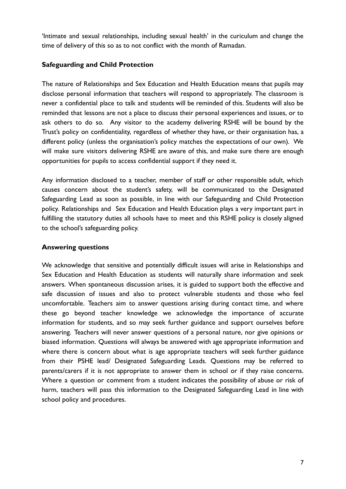'Intimate and sexual relationships, including sexual health' in the curiculum and change the time of delivery of this so as to not conflict with the month of Ramadan.

### **Safeguarding and Child Protection**

The nature of Relationships and Sex Education and Health Education means that pupils may disclose personal information that teachers will respond to appropriately. The classroom is never a confidential place to talk and students will be reminded of this. Students will also be reminded that lessons are not a place to discuss their personal experiences and issues, or to ask others to do so. Any visitor to the academy delivering RSHE will be bound by the Trust's policy on confidentiality, regardless of whether they have, or their organisation has, a different policy (unless the organisation's policy matches the expectations of our own). We will make sure visitors delivering RSHE are aware of this, and make sure there are enough opportunities for pupils to access confidential support if they need it.

Any information disclosed to a teacher, member of staff or other responsible adult, which causes concern about the student's safety, will be communicated to the Designated Safeguarding Lead as soon as possible, in line with our Safeguarding and Child Protection policy. Relationships and Sex Education and Health Education plays a very important part in fulfilling the statutory duties all schools have to meet and this RSHE policy is closely aligned to the school's safeguarding policy.

## **Answering questions**

We acknowledge that sensitive and potentially difficult issues will arise in Relationships and Sex Education and Health Education as students will naturally share information and seek answers. When spontaneous discussion arises, it is guided to support both the effective and safe discussion of issues and also to protect vulnerable students and those who feel uncomfortable. Teachers aim to answer questions arising during contact time, and where these go beyond teacher knowledge we acknowledge the importance of accurate information for students, and so may seek further guidance and support ourselves before answering. Teachers will never answer questions of a personal nature, nor give opinions or biased information. Questions will always be answered with age appropriate information and where there is concern about what is age appropriate teachers will seek further guidance from their PSHE lead/ Designated Safeguarding Leads. Questions may be referred to parents/carers if it is not appropriate to answer them in school or if they raise concerns. Where a question or comment from a student indicates the possibility of abuse or risk of harm, teachers will pass this information to the Designated Safeguarding Lead in line with school policy and procedures.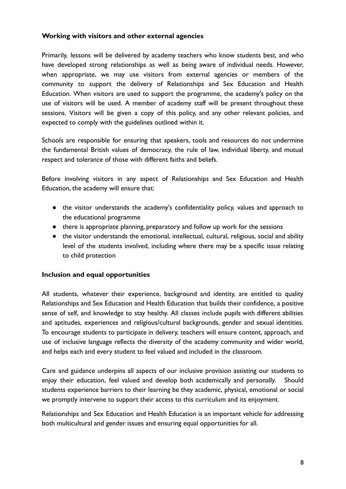#### **Working with visitors and other external agencies**

Primarily, lessons will be delivered by academy teachers who know students best, and who have developed strong relationships as well as being aware of individual needs. However, when appropriate, we may use visitors from external agencies or members of the community to support the delivery of Relationships and Sex Education and Health Education. When visitors are used to support the programme, the academy's policy on the use of visitors will be used. A member of academy staff will be present throughout these sessions. Visitors will be given a copy of this policy, and any other relevant policies, and expected to comply with the guidelines outlined within it.

Schools are responsible for ensuring that speakers, tools and resources do not undermine the fundamental British values of democracy, the rule of law, individual liberty, and mutual respect and tolerance of those with different faiths and beliefs.

Before involving visitors in any aspect of Relationships and Sex Education and Health Education, the academy will ensure that:

- the visitor understands the academy's confidentiality policy, values and approach to the educational programme
- there is appropriate planning, preparatory and follow up work for the sessions
- the visitor understands the emotional, intellectual, cultural, religious, social and ability level of the students involved, including where there may be a specific issue relating to child protection

#### **Inclusion and equal opportunities**

All students, whatever their experience, background and identity, are entitled to quality Relationships and Sex Education and Health Education that builds their confidence, a positive sense of self, and knowledge to stay healthy. All classes include pupils with different abilities and aptitudes, experiences and religious/cultural backgrounds, gender and sexual identities. To encourage students to participate in delivery, teachers will ensure content, approach, and use of inclusive language reflects the diversity of the academy community and wider world, and helps each and every student to feel valued and included in the classroom.

Care and guidance underpins all aspects of our inclusive provision assisting our students to enjoy their education, feel valued and develop both academically and personally. Should students experience barriers to their learning be they academic, physical, emotional or social we promptly intervene to support their access to this curriculum and its enjoyment.

Relationships and Sex Education and Health Education is an important vehicle for addressing both multicultural and gender issues and ensuring equal opportunities for all.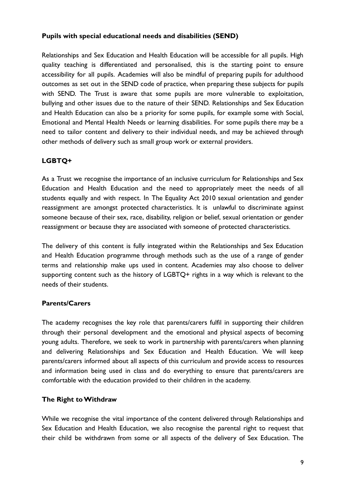#### **Pupils with special educational needs and disabilities (SEND)**

Relationships and Sex Education and Health Education will be accessible for all pupils. High quality teaching is differentiated and personalised, this is the starting point to ensure accessibility for all pupils. Academies will also be mindful of preparing pupils for adulthood outcomes as set out in the SEND code of practice, when preparing these subjects for pupils with SEND. The Trust is aware that some pupils are more vulnerable to exploitation, bullying and other issues due to the nature of their SEND. Relationships and Sex Education and Health Education can also be a priority for some pupils, for example some with Social, Emotional and Mental Health Needs or learning disabilities. For some pupils there may be a need to tailor content and delivery to their individual needs, and may be achieved through other methods of delivery such as small group work or external providers.

# **LGBTQ+**

As a Trust we recognise the importance of an inclusive curriculum for Relationships and Sex Education and Health Education and the need to appropriately meet the needs of all students equally and with respect. In The Equality Act 2010 sexual orientation and gender reassignment are amongst protected characteristics. It is unlawful to discriminate against someone because of their sex, race, disability, religion or belief, sexual orientation or gender reassignment or because they are associated with someone of protected characteristics.

The delivery of this content is fully integrated within the Relationships and Sex Education and Health Education programme through methods such as the use of a range of gender terms and relationship make ups used in content. Academies may also choose to deliver supporting content such as the history of LGBTQ+ rights in a way which is relevant to the needs of their students.

# **Parents/Carers**

The academy recognises the key role that parents/carers fulfil in supporting their children through their personal development and the emotional and physical aspects of becoming young adults. Therefore, we seek to work in partnership with parents/carers when planning and delivering Relationships and Sex Education and Health Education. We will keep parents/carers informed about all aspects of this curriculum and provide access to resources and information being used in class and do everything to ensure that parents/carers are comfortable with the education provided to their children in the academy.

#### **The Right to Withdraw**

While we recognise the vital importance of the content delivered through Relationships and Sex Education and Health Education, we also recognise the parental right to request that their child be withdrawn from some or all aspects of the delivery of Sex Education. The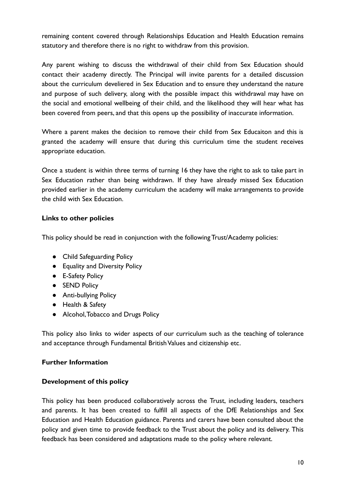remaining content covered through Relationships Education and Health Education remains statutory and therefore there is no right to withdraw from this provision.

Any parent wishing to discuss the withdrawal of their child from Sex Education should contact their academy directly. The Principal will invite parents for a detailed discussion about the curriculum develiered in Sex Education and to ensure they understand the nature and purpose of such delivery, along with the possible impact this withdrawal may have on the social and emotional wellbeing of their child, and the likelihood they will hear what has been covered from peers, and that this opens up the possibility of inaccurate information.

Where a parent makes the decision to remove their child from Sex Educaiton and this is granted the academy will ensure that during this curriculum time the student receives appropriate education.

Once a student is within three terms of turning 16 they have the right to ask to take part in Sex Education rather than being withdrawn. If they have already missed Sex Education provided earlier in the academy curriculum the academy will make arrangements to provide the child with Sex Education.

### **Links to other policies**

This policy should be read in conjunction with the following Trust/Academy policies:

- Child Safeguarding Policy
- Equality and Diversity Policy
- E-Safety Policy
- **SEND Policy**
- Anti-bullying Policy
- Health & Safety
- Alcohol, Tobacco and Drugs Policy

This policy also links to wider aspects of our curriculum such as the teaching of tolerance and acceptance through Fundamental British Values and citizenship etc.

#### **Further Information**

#### **Development of this policy**

This policy has been produced collaboratively across the Trust, including leaders, teachers and parents. It has been created to fulfill all aspects of the DfE Relationships and Sex Education and Health Education guidance. Parents and carers have been consulted about the policy and given time to provide feedback to the Trust about the policy and its delivery. This feedback has been considered and adaptations made to the policy where relevant.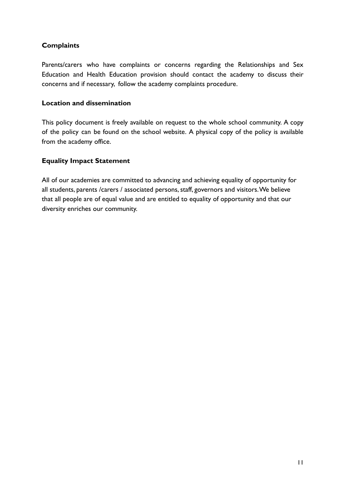# **Complaints**

Parents/carers who have complaints or concerns regarding the Relationships and Sex Education and Health Education provision should contact the academy to discuss their concerns and if necessary, follow the academy complaints procedure.

## **Location and dissemination**

This policy document is freely available on request to the whole school community. A copy of the policy can be found on the school website. A physical copy of the policy is available from the academy office.

# **Equality Impact Statement**

All of our academies are committed to advancing and achieving equality of opportunity for all students, parents /carers / associated persons, staff, governors and visitors.We believe that all people are of equal value and are entitled to equality of opportunity and that our diversity enriches our community.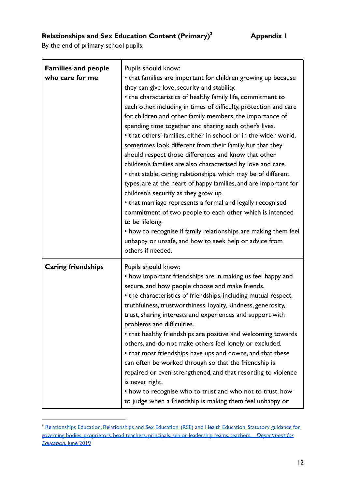# **Relationships and Sex Education Content (Primary)<sup>2</sup> Appendix 1**

By the end of primary school pupils:

| <b>Families and people</b><br>who care for me | Pupils should know:<br>• that families are important for children growing up because<br>they can give love, security and stability.<br>• the characteristics of healthy family life, commitment to<br>each other, including in times of difficulty, protection and care<br>for children and other family members, the importance of<br>spending time together and sharing each other's lives.<br>• that others' families, either in school or in the wider world,<br>sometimes look different from their family, but that they<br>should respect those differences and know that other<br>children's families are also characterised by love and care.<br>• that stable, caring relationships, which may be of different<br>types, are at the heart of happy families, and are important for<br>children's security as they grow up.<br>• that marriage represents a formal and legally recognised<br>commitment of two people to each other which is intended<br>to be lifelong.<br>• how to recognise if family relationships are making them feel<br>unhappy or unsafe, and how to seek help or advice from<br>others if needed. |
|-----------------------------------------------|-------------------------------------------------------------------------------------------------------------------------------------------------------------------------------------------------------------------------------------------------------------------------------------------------------------------------------------------------------------------------------------------------------------------------------------------------------------------------------------------------------------------------------------------------------------------------------------------------------------------------------------------------------------------------------------------------------------------------------------------------------------------------------------------------------------------------------------------------------------------------------------------------------------------------------------------------------------------------------------------------------------------------------------------------------------------------------------------------------------------------------------|
| <b>Caring friendships</b>                     | Pupils should know:<br>• how important friendships are in making us feel happy and<br>secure, and how people choose and make friends.<br>• the characteristics of friendships, including mutual respect,<br>truthfulness, trustworthiness, loyalty, kindness, generosity,<br>trust, sharing interests and experiences and support with<br>problems and difficulties.<br>• that healthy friendships are positive and welcoming towards<br>others, and do not make others feel lonely or excluded.<br>• that most friendships have ups and downs, and that these<br>can often be worked through so that the friendship is<br>repaired or even strengthened, and that resorting to violence<br>is never right.<br>• how to recognise who to trust and who not to trust, how<br>to judge when a friendship is making them feel unhappy or                                                                                                                                                                                                                                                                                               |

<sup>&</sup>lt;sup>2</sup> [Relationships](https://assets.publishing.service.gov.uk/government/uploads/system/uploads/attachment_data/file/908013/Relationships_Education__Relationships_and_Sex_Education__RSE__and_Health_Education.pdf) Education, Relationships and Sex Education (RSE) and Health Education. Statutory guidance for governing bodies, proprietors, head teachers, principals, senior leadership teams, teachers, Department for **[Education,](https://assets.publishing.service.gov.uk/government/uploads/system/uploads/attachment_data/file/908013/Relationships_Education__Relationships_and_Sex_Education__RSE__and_Health_Education.pdf) June 2019**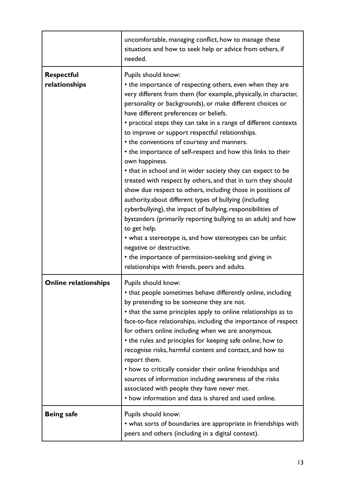|                                    | uncomfortable, managing conflict, how to manage these<br>situations and how to seek help or advice from others, if<br>needed.                                                                                                                                                                                                                                                                                                                                                                                                                                                                                                                                                                                                                                                                                                                                                                                                                                                                                                                                                                                                 |
|------------------------------------|-------------------------------------------------------------------------------------------------------------------------------------------------------------------------------------------------------------------------------------------------------------------------------------------------------------------------------------------------------------------------------------------------------------------------------------------------------------------------------------------------------------------------------------------------------------------------------------------------------------------------------------------------------------------------------------------------------------------------------------------------------------------------------------------------------------------------------------------------------------------------------------------------------------------------------------------------------------------------------------------------------------------------------------------------------------------------------------------------------------------------------|
| <b>Respectful</b><br>relationships | Pupils should know:<br>• the importance of respecting others, even when they are<br>very different from them (for example, physically, in character,<br>personality or backgrounds), or make different choices or<br>have different preferences or beliefs.<br>• practical steps they can take in a range of different contexts<br>to improve or support respectful relationships.<br>• the conventions of courtesy and manners.<br>• the importance of self-respect and how this links to their<br>own happiness.<br>• that in school and in wider society they can expect to be<br>treated with respect by others, and that in turn they should<br>show due respect to others, including those in positions of<br>authority.about different types of bullying (including<br>cyberbullying), the impact of bullying, responsibilities of<br>bystanders (primarily reporting bullying to an adult) and how<br>to get help.<br>• what a stereotype is, and how stereotypes can be unfair,<br>negative or destructive.<br>• the importance of permission-seeking and giving in<br>relationships with friends, peers and adults. |
| <b>Online relationships</b>        | Pupils should know:<br>• that people sometimes behave differently online, including<br>by pretending to be someone they are not.<br>• that the same principles apply to online relationships as to<br>face-to-face relationships, including the importance of respect<br>for others online including when we are anonymous.<br>• the rules and principles for keeping safe online, how to<br>recognise risks, harmful content and contact, and how to<br>report them.<br>• how to critically consider their online friendships and<br>sources of information including awareness of the risks<br>associated with people they have never met.<br>• how information and data is shared and used online.                                                                                                                                                                                                                                                                                                                                                                                                                         |
| <b>Being safe</b>                  | Pupils should know:<br>• what sorts of boundaries are appropriate in friendships with<br>peers and others (including in a digital context).                                                                                                                                                                                                                                                                                                                                                                                                                                                                                                                                                                                                                                                                                                                                                                                                                                                                                                                                                                                   |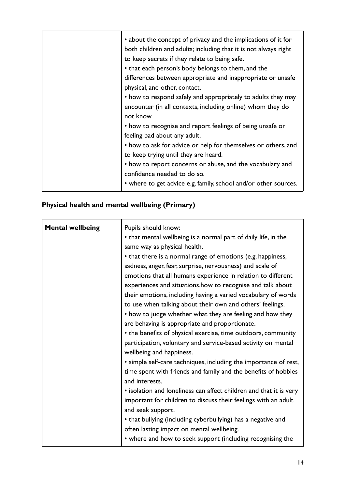# **Physical health and mental wellbeing (Primary)**

| <b>Mental wellbeing</b> | Pupils should know:<br>• that mental wellbeing is a normal part of daily life, in the<br>same way as physical health.<br>• that there is a normal range of emotions (e.g. happiness,<br>sadness, anger, fear, surprise, nervousness) and scale of                                                                                                                                                                                                                                                                        |
|-------------------------|--------------------------------------------------------------------------------------------------------------------------------------------------------------------------------------------------------------------------------------------------------------------------------------------------------------------------------------------------------------------------------------------------------------------------------------------------------------------------------------------------------------------------|
|                         | emotions that all humans experience in relation to different<br>experiences and situations.how to recognise and talk about<br>their emotions, including having a varied vocabulary of words<br>to use when talking about their own and others' feelings.<br>• how to judge whether what they are feeling and how they<br>are behaving is appropriate and proportionate.<br>• the benefits of physical exercise, time outdoors, community<br>participation, voluntary and service-based activity on mental                |
|                         | wellbeing and happiness.<br>• simple self-care techniques, including the importance of rest,<br>time spent with friends and family and the benefits of hobbies<br>and interests.<br>• isolation and loneliness can affect children and that it is very<br>important for children to discuss their feelings with an adult<br>and seek support.<br>• that bullying (including cyberbullying) has a negative and<br>often lasting impact on mental wellbeing.<br>• where and how to seek support (including recognising the |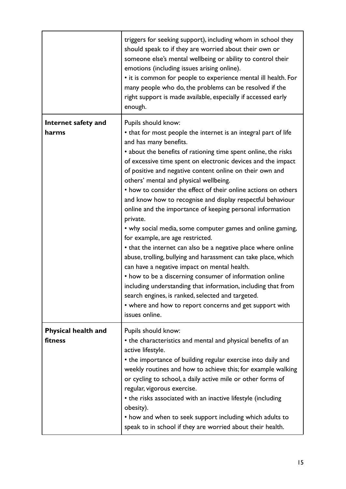|                                | triggers for seeking support), including whom in school they<br>should speak to if they are worried about their own or<br>someone else's mental wellbeing or ability to control their<br>emotions (including issues arising online).<br>• it is common for people to experience mental ill health. For<br>many people who do, the problems can be resolved if the<br>right support is made available, especially if accessed early<br>enough.                                                                                                                                                                                                                                                                                                                                                                                                                                                                                                                                                                                                                                                                        |
|--------------------------------|----------------------------------------------------------------------------------------------------------------------------------------------------------------------------------------------------------------------------------------------------------------------------------------------------------------------------------------------------------------------------------------------------------------------------------------------------------------------------------------------------------------------------------------------------------------------------------------------------------------------------------------------------------------------------------------------------------------------------------------------------------------------------------------------------------------------------------------------------------------------------------------------------------------------------------------------------------------------------------------------------------------------------------------------------------------------------------------------------------------------|
| Internet safety and<br>harms   | Pupils should know:<br>• that for most people the internet is an integral part of life<br>and has many benefits.<br>• about the benefits of rationing time spent online, the risks<br>of excessive time spent on electronic devices and the impact<br>of positive and negative content online on their own and<br>others' mental and physical wellbeing.<br>• how to consider the effect of their online actions on others<br>and know how to recognise and display respectful behaviour<br>online and the importance of keeping personal information<br>private.<br>• why social media, some computer games and online gaming,<br>for example, are age restricted.<br>• that the internet can also be a negative place where online<br>abuse, trolling, bullying and harassment can take place, which<br>can have a negative impact on mental health.<br>• how to be a discerning consumer of information online<br>including understanding that information, including that from<br>search engines, is ranked, selected and targeted.<br>• where and how to report concerns and get support with<br>issues online. |
| Physical health and<br>fitness | Pupils should know:<br>• the characteristics and mental and physical benefits of an<br>active lifestyle.<br>• the importance of building regular exercise into daily and<br>weekly routines and how to achieve this; for example walking<br>or cycling to school, a daily active mile or other forms of<br>regular, vigorous exercise.<br>• the risks associated with an inactive lifestyle (including<br>obesity).<br>• how and when to seek support including which adults to<br>speak to in school if they are worried about their health.                                                                                                                                                                                                                                                                                                                                                                                                                                                                                                                                                                        |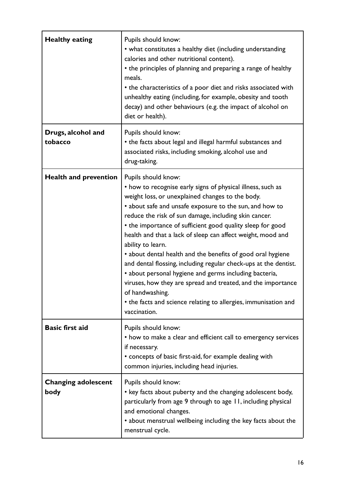| <b>Healthy eating</b>              | Pupils should know:<br>• what constitutes a healthy diet (including understanding<br>calories and other nutritional content).<br>• the principles of planning and preparing a range of healthy<br>meals.<br>• the characteristics of a poor diet and risks associated with<br>unhealthy eating (including, for example, obesity and tooth<br>decay) and other behaviours (e.g. the impact of alcohol on<br>diet or health).                                                                                                                                                                                                                                                                                                                                                     |
|------------------------------------|---------------------------------------------------------------------------------------------------------------------------------------------------------------------------------------------------------------------------------------------------------------------------------------------------------------------------------------------------------------------------------------------------------------------------------------------------------------------------------------------------------------------------------------------------------------------------------------------------------------------------------------------------------------------------------------------------------------------------------------------------------------------------------|
| Drugs, alcohol and<br>tobacco      | Pupils should know:<br>• the facts about legal and illegal harmful substances and<br>associated risks, including smoking, alcohol use and<br>drug-taking.                                                                                                                                                                                                                                                                                                                                                                                                                                                                                                                                                                                                                       |
| <b>Health and prevention</b>       | Pupils should know:<br>• how to recognise early signs of physical illness, such as<br>weight loss, or unexplained changes to the body.<br>• about safe and unsafe exposure to the sun, and how to<br>reduce the risk of sun damage, including skin cancer.<br>• the importance of sufficient good quality sleep for good<br>health and that a lack of sleep can affect weight, mood and<br>ability to learn.<br>• about dental health and the benefits of good oral hygiene<br>and dental flossing, including regular check-ups at the dentist.<br>• about personal hygiene and germs including bacteria,<br>viruses, how they are spread and treated, and the importance<br>of handwashing.<br>• the facts and science relating to allergies, immunisation and<br>vaccination. |
| <b>Basic first aid</b>             | Pupils should know:<br>• how to make a clear and efficient call to emergency services<br>if necessary.<br>• concepts of basic first-aid, for example dealing with<br>common injuries, including head injuries.                                                                                                                                                                                                                                                                                                                                                                                                                                                                                                                                                                  |
| <b>Changing adolescent</b><br>body | Pupils should know:<br>• key facts about puberty and the changing adolescent body,<br>particularly from age 9 through to age 11, including physical<br>and emotional changes.<br>• about menstrual wellbeing including the key facts about the<br>menstrual cycle.                                                                                                                                                                                                                                                                                                                                                                                                                                                                                                              |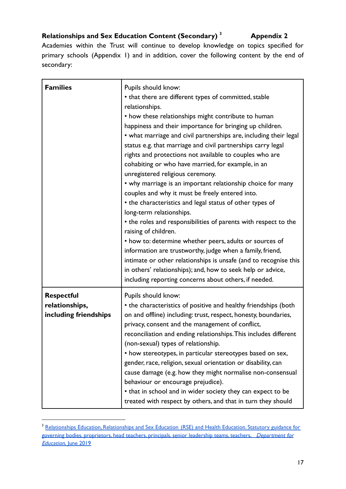# **Relationships and Sex Education Content (Secondary) <sup>3</sup> Appendix 2**

Academies within the Trust will continue to develop knowledge on topics specified for primary schools (Appendix 1) and in addition, cover the following content by the end of secondary:

| <b>Families</b>                                              | Pupils should know:<br>• that there are different types of committed, stable<br>relationships.<br>• how these relationships might contribute to human<br>happiness and their importance for bringing up children.<br>• what marriage and civil partnerships are, including their legal<br>status e.g. that marriage and civil partnerships carry legal<br>rights and protections not available to couples who are<br>cohabiting or who have married, for example, in an<br>unregistered religious ceremony.<br>• why marriage is an important relationship choice for many<br>couples and why it must be freely entered into.<br>• the characteristics and legal status of other types of<br>long-term relationships.<br>• the roles and responsibilities of parents with respect to the<br>raising of children.<br>• how to: determine whether peers, adults or sources of<br>information are trustworthy, judge when a family, friend,<br>intimate or other relationships is unsafe (and to recognise this<br>in others' relationships); and, how to seek help or advice,<br>including reporting concerns about others, if needed. |
|--------------------------------------------------------------|--------------------------------------------------------------------------------------------------------------------------------------------------------------------------------------------------------------------------------------------------------------------------------------------------------------------------------------------------------------------------------------------------------------------------------------------------------------------------------------------------------------------------------------------------------------------------------------------------------------------------------------------------------------------------------------------------------------------------------------------------------------------------------------------------------------------------------------------------------------------------------------------------------------------------------------------------------------------------------------------------------------------------------------------------------------------------------------------------------------------------------------|
| <b>Respectful</b><br>relationships,<br>including friendships | Pupils should know:<br>• the characteristics of positive and healthy friendships (both<br>on and offline) including: trust, respect, honesty, boundaries,<br>privacy, consent and the management of conflict,<br>reconciliation and ending relationships. This includes different                                                                                                                                                                                                                                                                                                                                                                                                                                                                                                                                                                                                                                                                                                                                                                                                                                                    |
|                                                              | (non-sexual) types of relationship.<br>• how stereotypes, in particular stereotypes based on sex,<br>gender, race, religion, sexual orientation or disability, can<br>cause damage (e.g. how they might normalise non-consensual<br>behaviour or encourage prejudice).<br>• that in school and in wider society they can expect to be<br>treated with respect by others, and that in turn they should                                                                                                                                                                                                                                                                                                                                                                                                                                                                                                                                                                                                                                                                                                                                |

<sup>&</sup>lt;sup>3</sup> [Relationships](https://assets.publishing.service.gov.uk/government/uploads/system/uploads/attachment_data/file/908013/Relationships_Education__Relationships_and_Sex_Education__RSE__and_Health_Education.pdf) Education, Relationships and Sex Education (RSE) and Health Education. Statutory guidance for governing bodies, proprietors, head teachers, principals, senior leadership teams, teachers, Department for [Education,](https://assets.publishing.service.gov.uk/government/uploads/system/uploads/attachment_data/file/908013/Relationships_Education__Relationships_and_Sex_Education__RSE__and_Health_Education.pdf) June 2019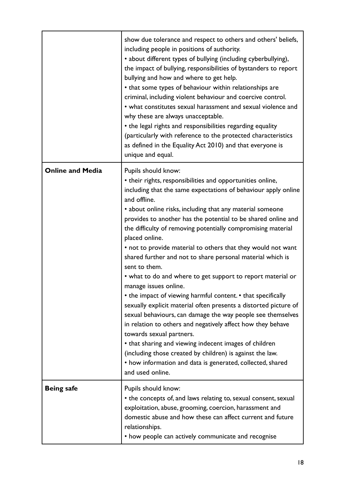|                         | show due tolerance and respect to others and others' beliefs,<br>including people in positions of authority.<br>• about different types of bullying (including cyberbullying),<br>the impact of bullying, responsibilities of bystanders to report<br>bullying and how and where to get help.<br>• that some types of behaviour within relationships are<br>criminal, including violent behaviour and coercive control.<br>• what constitutes sexual harassment and sexual violence and<br>why these are always unacceptable.<br>• the legal rights and responsibilities regarding equality<br>(particularly with reference to the protected characteristics<br>as defined in the Equality Act 2010) and that everyone is<br>unique and equal.                                                                                                                                                                                                                                                                                                                                                                                    |
|-------------------------|-----------------------------------------------------------------------------------------------------------------------------------------------------------------------------------------------------------------------------------------------------------------------------------------------------------------------------------------------------------------------------------------------------------------------------------------------------------------------------------------------------------------------------------------------------------------------------------------------------------------------------------------------------------------------------------------------------------------------------------------------------------------------------------------------------------------------------------------------------------------------------------------------------------------------------------------------------------------------------------------------------------------------------------------------------------------------------------------------------------------------------------|
| <b>Online and Media</b> | Pupils should know:<br>• their rights, responsibilities and opportunities online,<br>including that the same expectations of behaviour apply online<br>and offline.<br>• about online risks, including that any material someone<br>provides to another has the potential to be shared online and<br>the difficulty of removing potentially compromising material<br>placed online.<br>• not to provide material to others that they would not want<br>shared further and not to share personal material which is<br>sent to them.<br>• what to do and where to get support to report material or<br>manage issues online.<br>• the impact of viewing harmful content. • that specifically<br>sexually explicit material often presents a distorted picture of<br>sexual behaviours, can damage the way people see themselves<br>in relation to others and negatively affect how they behave<br>towards sexual partners.<br>• that sharing and viewing indecent images of children<br>(including those created by children) is against the law.<br>• how information and data is generated, collected, shared<br>and used online. |
| <b>Being safe</b>       | Pupils should know:<br>• the concepts of, and laws relating to, sexual consent, sexual<br>exploitation, abuse, grooming, coercion, harassment and<br>domestic abuse and how these can affect current and future<br>relationships.<br>• how people can actively communicate and recognise                                                                                                                                                                                                                                                                                                                                                                                                                                                                                                                                                                                                                                                                                                                                                                                                                                          |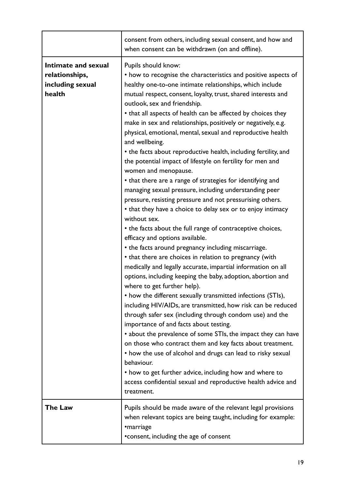|                                                                     | consent from others, including sexual consent, and how and<br>when consent can be withdrawn (on and offline).                                                                                                                                                                                                                                                                                                                                                                                                                                                                                                                                                                                                                                                                                                                                                                                                                                                                                                                                                                                                                                                                                                                                                                                                                                                                                                                                                                                                                                                                                                                                         |
|---------------------------------------------------------------------|-------------------------------------------------------------------------------------------------------------------------------------------------------------------------------------------------------------------------------------------------------------------------------------------------------------------------------------------------------------------------------------------------------------------------------------------------------------------------------------------------------------------------------------------------------------------------------------------------------------------------------------------------------------------------------------------------------------------------------------------------------------------------------------------------------------------------------------------------------------------------------------------------------------------------------------------------------------------------------------------------------------------------------------------------------------------------------------------------------------------------------------------------------------------------------------------------------------------------------------------------------------------------------------------------------------------------------------------------------------------------------------------------------------------------------------------------------------------------------------------------------------------------------------------------------------------------------------------------------------------------------------------------------|
| Intimate and sexual<br>relationships,<br>including sexual<br>health | Pupils should know:<br>• how to recognise the characteristics and positive aspects of<br>healthy one-to-one intimate relationships, which include<br>mutual respect, consent, loyalty, trust, shared interests and<br>outlook, sex and friendship.<br>• that all aspects of health can be affected by choices they<br>make in sex and relationships, positively or negatively, e.g.<br>physical, emotional, mental, sexual and reproductive health<br>and wellbeing.<br>• the facts about reproductive health, including fertility, and<br>the potential impact of lifestyle on fertility for men and<br>women and menopause.<br>• that there are a range of strategies for identifying and<br>managing sexual pressure, including understanding peer<br>pressure, resisting pressure and not pressurising others.<br>• that they have a choice to delay sex or to enjoy intimacy<br>without sex.<br>• the facts about the full range of contraceptive choices,<br>efficacy and options available.<br>• the facts around pregnancy including miscarriage.<br>• that there are choices in relation to pregnancy (with<br>medically and legally accurate, impartial information on all<br>options, including keeping the baby, adoption, abortion and<br>where to get further help).<br>• how the different sexually transmitted infections (STIs),<br>including HIV/AIDs, are transmitted, how risk can be reduced<br>through safer sex (including through condom use) and the<br>importance of and facts about testing.<br>• about the prevalence of some STIs, the impact they can have<br>on those who contract them and key facts about treatment. |
|                                                                     | • how the use of alcohol and drugs can lead to risky sexual<br>behaviour.<br>• how to get further advice, including how and where to<br>access confidential sexual and reproductive health advice and<br>treatment.                                                                                                                                                                                                                                                                                                                                                                                                                                                                                                                                                                                                                                                                                                                                                                                                                                                                                                                                                                                                                                                                                                                                                                                                                                                                                                                                                                                                                                   |
| <b>The Law</b>                                                      | Pupils should be made aware of the relevant legal provisions<br>when relevant topics are being taught, including for example:<br>•marriage<br>• consent, including the age of consent                                                                                                                                                                                                                                                                                                                                                                                                                                                                                                                                                                                                                                                                                                                                                                                                                                                                                                                                                                                                                                                                                                                                                                                                                                                                                                                                                                                                                                                                 |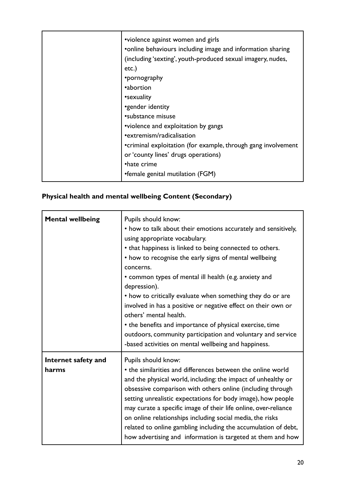| •violence against women and girls<br>• online behaviours including image and information sharing<br>(including 'sexting', youth-produced sexual imagery, nudes,<br>$etc.$ )<br>•pornography<br>•abortion<br>•sexuality<br>•gender identity<br>•substance misuse<br>•violence and exploitation by gangs<br>• extremism/radicalisation<br>•criminal exploitation (for example, through gang involvement<br>or 'county lines' drugs operations) |
|----------------------------------------------------------------------------------------------------------------------------------------------------------------------------------------------------------------------------------------------------------------------------------------------------------------------------------------------------------------------------------------------------------------------------------------------|
| •hate crime<br>•female genital mutilation (FGM)                                                                                                                                                                                                                                                                                                                                                                                              |

# **Physical health and mental wellbeing Content (Secondary)**

| <b>Mental wellbeing</b>      | Pupils should know:<br>• how to talk about their emotions accurately and sensitively,<br>using appropriate vocabulary.<br>• that happiness is linked to being connected to others.<br>• how to recognise the early signs of mental wellbeing<br>concerns.<br>• common types of mental ill health (e.g. anxiety and<br>depression).<br>• how to critically evaluate when something they do or are<br>involved in has a positive or negative effect on their own or<br>others' mental health.<br>• the benefits and importance of physical exercise, time<br>outdoors, community participation and voluntary and service<br>-based activities on mental wellbeing and happiness. |
|------------------------------|--------------------------------------------------------------------------------------------------------------------------------------------------------------------------------------------------------------------------------------------------------------------------------------------------------------------------------------------------------------------------------------------------------------------------------------------------------------------------------------------------------------------------------------------------------------------------------------------------------------------------------------------------------------------------------|
| Internet safety and<br>harms | Pupils should know:<br>• the similarities and differences between the online world<br>and the physical world, including: the impact of unhealthy or<br>obsessive comparison with others online (including through<br>setting unrealistic expectations for body image), how people<br>may curate a specific image of their life online, over-reliance<br>on online relationships including social media, the risks<br>related to online gambling including the accumulation of debt,<br>how advertising and information is targeted at them and how                                                                                                                             |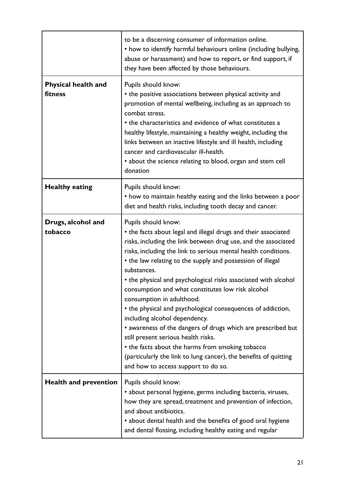|                                | to be a discerning consumer of information online.<br>• how to identify harmful behaviours online (including bullying,<br>abuse or harassment) and how to report, or find support, if<br>they have been affected by those behaviours.                                                                                                                                                                                                                                                                                                                                                                                                                                                                                                                                                                                            |
|--------------------------------|----------------------------------------------------------------------------------------------------------------------------------------------------------------------------------------------------------------------------------------------------------------------------------------------------------------------------------------------------------------------------------------------------------------------------------------------------------------------------------------------------------------------------------------------------------------------------------------------------------------------------------------------------------------------------------------------------------------------------------------------------------------------------------------------------------------------------------|
| Physical health and<br>fitness | Pupils should know:<br>• the positive associations between physical activity and<br>promotion of mental wellbeing, including as an approach to<br>combat stress.<br>• the characteristics and evidence of what constitutes a<br>healthy lifestyle, maintaining a healthy weight, including the<br>links between an inactive lifestyle and ill health, including<br>cancer and cardiovascular ill-health.<br>• about the science relating to blood, organ and stem cell<br>donation                                                                                                                                                                                                                                                                                                                                               |
| <b>Healthy eating</b>          | Pupils should know:<br>• how to maintain healthy eating and the links between a poor<br>diet and health risks, including tooth decay and cancer.                                                                                                                                                                                                                                                                                                                                                                                                                                                                                                                                                                                                                                                                                 |
| Drugs, alcohol and<br>tobacco  | Pupils should know:<br>• the facts about legal and illegal drugs and their associated<br>risks, including the link between drug use, and the associated<br>risks, including the link to serious mental health conditions.<br>• the law relating to the supply and possession of illegal<br>substances.<br>• the physical and psychological risks associated with alcohol<br>consumption and what constitutes low risk alcohol<br>consumption in adulthood.<br>• the physical and psychological consequences of addiction,<br>including alcohol dependency.<br>• awareness of the dangers of drugs which are prescribed but<br>still present serious health risks.<br>• the facts about the harms from smoking tobacco<br>(particularly the link to lung cancer), the benefits of quitting<br>and how to access support to do so. |
| <b>Health and prevention</b>   | Pupils should know:<br>· about personal hygiene, germs including bacteria, viruses,<br>how they are spread, treatment and prevention of infection,<br>and about antibiotics.<br>• about dental health and the benefits of good oral hygiene<br>and dental flossing, including healthy eating and regular                                                                                                                                                                                                                                                                                                                                                                                                                                                                                                                         |